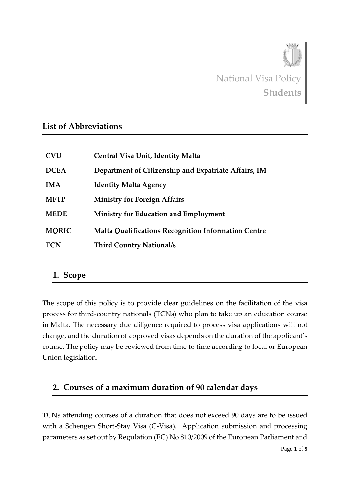

#### **List of Abbreviations**

| <b>CVU</b>   | <b>Central Visa Unit, Identity Malta</b>                   |
|--------------|------------------------------------------------------------|
| <b>DCEA</b>  | Department of Citizenship and Expatriate Affairs, IM       |
| <b>IMA</b>   | <b>Identity Malta Agency</b>                               |
| <b>MFTP</b>  | <b>Ministry for Foreign Affairs</b>                        |
| <b>MEDE</b>  | <b>Ministry for Education and Employment</b>               |
| <b>MORIC</b> | <b>Malta Qualifications Recognition Information Centre</b> |
| <b>TCN</b>   | <b>Third Country National/s</b>                            |

#### **1. Scope**

The scope of this policy is to provide clear guidelines on the facilitation of the visa process for third-country nationals (TCNs) who plan to take up an education course in Malta. The necessary due diligence required to process visa applications will not change, and the duration of approved visas depends on the duration of the applicant's course. The policy may be reviewed from time to time according to local or European Union legislation.

### **2. Courses of a maximum duration of 90 calendar days**

TCNs attending courses of a duration that does not exceed 90 days are to be issued with a Schengen Short-Stay Visa (C-Visa). Application submission and processing parameters as set out by Regulation (EC) No 810/2009 of the European Parliament and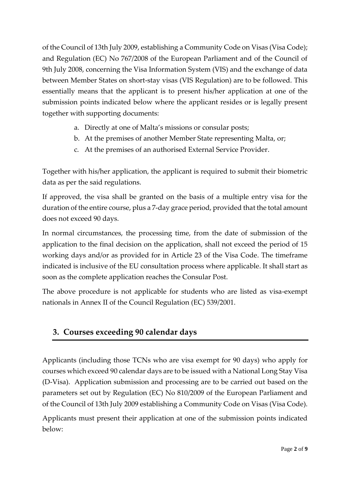of the Council of 13th July 2009, establishing a Community Code on Visas (Visa Code); and Regulation (EC) No 767/2008 of the European Parliament and of the Council of 9th July 2008, concerning the Visa Information System (VIS) and the exchange of data between Member States on short-stay visas (VIS Regulation) are to be followed. This essentially means that the applicant is to present his/her application at one of the submission points indicated below where the applicant resides or is legally present together with supporting documents:

- a. Directly at one of Malta's missions or consular posts;
- b. At the premises of another Member State representing Malta, or;
- c. At the premises of an authorised External Service Provider.

Together with his/her application, the applicant is required to submit their biometric data as per the said regulations.

If approved, the visa shall be granted on the basis of a multiple entry visa for the duration of the entire course, plus a 7-day grace period, provided that the total amount does not exceed 90 days.

In normal circumstances, the processing time, from the date of submission of the application to the final decision on the application, shall not exceed the period of 15 working days and/or as provided for in Article 23 of the Visa Code. The timeframe indicated is inclusive of the EU consultation process where applicable. It shall start as soon as the complete application reaches the Consular Post.

The above procedure is not applicable for students who are listed as visa-exempt nationals in Annex II of the Council Regulation (EC) 539/2001.

# **3. Courses exceeding 90 calendar days**

Applicants (including those TCNs who are visa exempt for 90 days) who apply for courses which exceed 90 calendar days are to be issued with a National Long Stay Visa (D-Visa). Application submission and processing are to be carried out based on the parameters set out by Regulation (EC) No 810/2009 of the European Parliament and of the Council of 13th July 2009 establishing a Community Code on Visas (Visa Code).

Applicants must present their application at one of the submission points indicated below: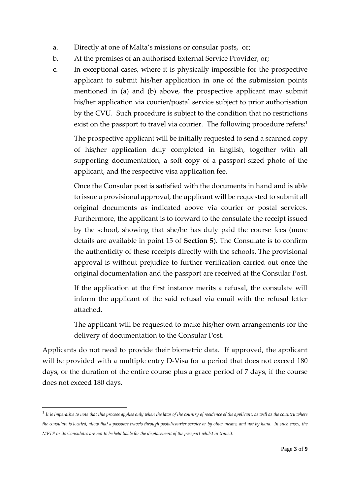- a. Directly at one of Malta's missions or consular posts, or;
- b. At the premises of an authorised External Service Provider, or;
- c. In exceptional cases, where it is physically impossible for the prospective applicant to submit his/her application in one of the submission points mentioned in (a) and (b) above, the prospective applicant may submit his/her application via courier/postal service subject to prior authorisation by the CVU. Such procedure is subject to the condition that no restrictions exist on the passport to travel via courier. The following procedure refers:<sup>1</sup>

The prospective applicant will be initially requested to send a scanned copy of his/her application duly completed in English, together with all supporting documentation, a soft copy of a passport-sized photo of the applicant, and the respective visa application fee.

Once the Consular post is satisfied with the documents in hand and is able to issue a provisional approval, the applicant will be requested to submit all original documents as indicated above via courier or postal services. Furthermore, the applicant is to forward to the consulate the receipt issued by the school, showing that she/he has duly paid the course fees (more details are available in point 15 of **Section 5**). The Consulate is to confirm the authenticity of these receipts directly with the schools. The provisional approval is without prejudice to further verification carried out once the original documentation and the passport are received at the Consular Post.

If the application at the first instance merits a refusal, the consulate will inform the applicant of the said refusal via email with the refusal letter attached.

The applicant will be requested to make his/her own arrangements for the delivery of documentation to the Consular Post.

Applicants do not need to provide their biometric data. If approved, the applicant will be provided with a multiple entry D-Visa for a period that does not exceed 180 days, or the duration of the entire course plus a grace period of 7 days, if the course does not exceed 180 days.

**.** 

<sup>1</sup> *It is imperative to note that this process applies only when the laws of the country of residence of the applicant, as well as the country where the consulate is located, allow that a passport travels through postal/courier service or by other means, and not by hand. In such cases, the MFTP or its Consulates are not to be held liable for the displacement of the passport whilst in transit.*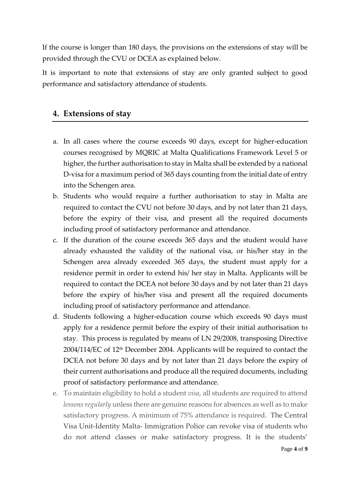If the course is longer than 180 days, the provisions on the extensions of stay will be provided through the CVU or DCEA as explained below.

It is important to note that extensions of stay are only granted subject to good performance and satisfactory attendance of students.

### **4. Extensions of stay**

- a. In all cases where the course exceeds 90 days, except for higher-education courses recognised by MQRIC at Malta Qualifications Framework Level 5 or higher, the further authorisation to stay in Malta shall be extended by a national D-visa for a maximum period of 365 days counting from the initial date of entry into the Schengen area.
- b. Students who would require a further authorisation to stay in Malta are required to contact the CVU not before 30 days, and by not later than 21 days, before the expiry of their visa, and present all the required documents including proof of satisfactory performance and attendance.
- c. If the duration of the course exceeds 365 days and the student would have already exhausted the validity of the national visa, or his/her stay in the Schengen area already exceeded 365 days, the student must apply for a residence permit in order to extend his/ her stay in Malta. Applicants will be required to contact the DCEA not before 30 days and by not later than 21 days before the expiry of his/her visa and present all the required documents including proof of satisfactory performance and attendance.
- d. Students following a higher-education course which exceeds 90 days must apply for a residence permit before the expiry of their initial authorisation to stay. This process is regulated by means of LN 29/2008, transposing Directive  $2004/114/EC$  of  $12<sup>th</sup>$  December 2004. Applicants will be required to contact the DCEA not before 30 days and by not later than 21 days before the expiry of their current authorisations and produce all the required documents, including proof of satisfactory performance and attendance.
- e. To maintain eligibility to hold a student *visa*, all students are required to attend *lessons regularly* unless there are genuine reasons for absences as well as to make satisfactory progress. A minimum of 75% attendance is required. The Central Visa Unit-Identity Malta- Immigration Police can revoke visa of students who do not attend classes or make satisfactory progress. It is the students'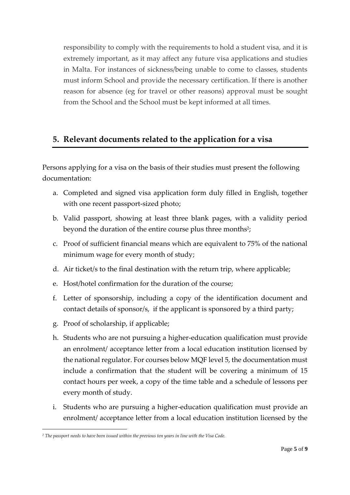responsibility to comply with the requirements to hold a student visa, and it is extremely important, as it may affect any future visa applications and studies in Malta. For instances of sickness/being unable to come to classes, students must inform School and provide the necessary certification. If there is another reason for absence (eg for travel or other reasons) approval must be sought from the School and the School must be kept informed at all times.

## **5. Relevant documents related to the application for a visa**

Persons applying for a visa on the basis of their studies must present the following documentation:

- a. Completed and signed visa application form duly filled in English, together with one recent passport-sized photo;
- b. Valid passport, showing at least three blank pages, with a validity period beyond the duration of the entire course plus three months<sup>2</sup>;
- c. Proof of sufficient financial means which are equivalent to 75% of the national minimum wage for every month of study;
- d. Air ticket/s to the final destination with the return trip, where applicable;
- e. Host/hotel confirmation for the duration of the course;
- f. Letter of sponsorship, including a copy of the identification document and contact details of sponsor/s, if the applicant is sponsored by a third party;
- g. Proof of scholarship, if applicable;
- h. Students who are not pursuing a higher-education qualification must provide an enrolment/ acceptance letter from a local education institution licensed by the national regulator. For courses below MQF level 5, the documentation must include a confirmation that the student will be covering a minimum of 15 contact hours per week, a copy of the time table and a schedule of lessons per every month of study.
- i. Students who are pursuing a higher-education qualification must provide an enrolment/ acceptance letter from a local education institution licensed by the

 $\overline{a}$ *<sup>2</sup> The passport needs to have been issued within the previous ten years in line with the Visa Code.*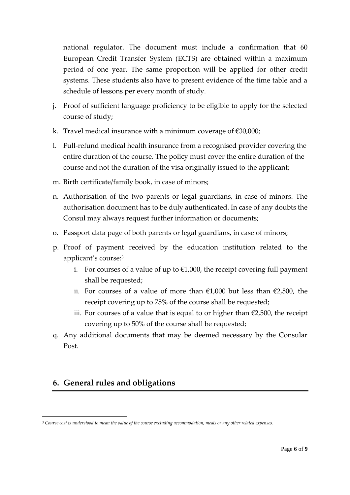national regulator. The document must include a confirmation that 60 European Credit Transfer System (ECTS) are obtained within a maximum period of one year. The same proportion will be applied for other credit systems. These students also have to present evidence of the time table and a schedule of lessons per every month of study.

- j. Proof of sufficient language proficiency to be eligible to apply for the selected course of study;
- k. Travel medical insurance with a minimum coverage of €30,000;
- l. Full-refund medical health insurance from a recognised provider covering the entire duration of the course. The policy must cover the entire duration of the course and not the duration of the visa originally issued to the applicant;
- m. Birth certificate/family book, in case of minors;
- n. Authorisation of the two parents or legal guardians, in case of minors. The authorisation document has to be duly authenticated. In case of any doubts the Consul may always request further information or documents;
- o. Passport data page of both parents or legal guardians, in case of minors;
- p. Proof of payment received by the education institution related to the applicant's course:<sup>3</sup>
	- i. For courses of a value of up to  $\epsilon$ 1,000, the receipt covering full payment shall be requested;
	- ii. For courses of a value of more than €1,000 but less than €2,500, the receipt covering up to 75% of the course shall be requested;
	- iii. For courses of a value that is equal to or higher than  $\epsilon$ 2,500, the receipt covering up to 50% of the course shall be requested;
- q. Any additional documents that may be deemed necessary by the Consular Post.

### **6. General rules and obligations**

**.** 

*<sup>3</sup> Course cost is understood to mean the value of the course excluding accommodation, meals or any other related expenses.*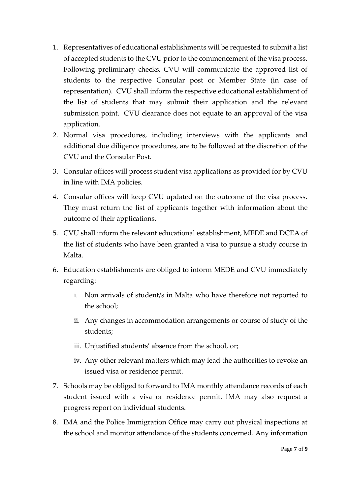- 1. Representatives of educational establishments will be requested to submit a list of accepted students to the CVU prior to the commencement of the visa process. Following preliminary checks, CVU will communicate the approved list of students to the respective Consular post or Member State (in case of representation). CVU shall inform the respective educational establishment of the list of students that may submit their application and the relevant submission point. CVU clearance does not equate to an approval of the visa application.
- 2. Normal visa procedures, including interviews with the applicants and additional due diligence procedures, are to be followed at the discretion of the CVU and the Consular Post.
- 3. Consular offices will process student visa applications as provided for by CVU in line with IMA policies.
- 4. Consular offices will keep CVU updated on the outcome of the visa process. They must return the list of applicants together with information about the outcome of their applications.
- 5. CVU shall inform the relevant educational establishment, MEDE and DCEA of the list of students who have been granted a visa to pursue a study course in Malta.
- 6. Education establishments are obliged to inform MEDE and CVU immediately regarding:
	- i. Non arrivals of student/s in Malta who have therefore not reported to the school;
	- ii. Any changes in accommodation arrangements or course of study of the students;
	- iii. Unjustified students' absence from the school, or;
	- iv. Any other relevant matters which may lead the authorities to revoke an issued visa or residence permit.
- 7. Schools may be obliged to forward to IMA monthly attendance records of each student issued with a visa or residence permit. IMA may also request a progress report on individual students.
- 8. IMA and the Police Immigration Office may carry out physical inspections at the school and monitor attendance of the students concerned. Any information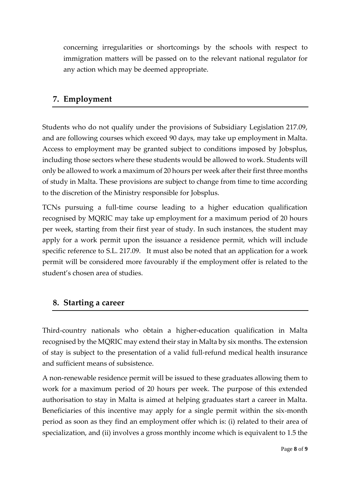concerning irregularities or shortcomings by the schools with respect to immigration matters will be passed on to the relevant national regulator for any action which may be deemed appropriate.

### **7. Employment**

Students who do not qualify under the provisions of Subsidiary Legislation 217.09, and are following courses which exceed 90 days, may take up employment in Malta. Access to employment may be granted subject to conditions imposed by Jobsplus, including those sectors where these students would be allowed to work. Students will only be allowed to work a maximum of 20 hours per week after their first three months of study in Malta. These provisions are subject to change from time to time according to the discretion of the Ministry responsible for Jobsplus.

TCNs pursuing a full-time course leading to a higher education qualification recognised by MQRIC may take up employment for a maximum period of 20 hours per week, starting from their first year of study. In such instances, the student may apply for a work permit upon the issuance a residence permit, which will include specific reference to S.L. 217.09. It must also be noted that an application for a work permit will be considered more favourably if the employment offer is related to the student's chosen area of studies.

### **8. Starting a career**

Third-country nationals who obtain a higher-education qualification in Malta recognised by the MQRIC may extend their stay in Malta by six months. The extension of stay is subject to the presentation of a valid full-refund medical health insurance and sufficient means of subsistence.

A non-renewable residence permit will be issued to these graduates allowing them to work for a maximum period of 20 hours per week. The purpose of this extended authorisation to stay in Malta is aimed at helping graduates start a career in Malta. Beneficiaries of this incentive may apply for a single permit within the six-month period as soon as they find an employment offer which is: (i) related to their area of specialization, and (ii) involves a gross monthly income which is equivalent to 1.5 the